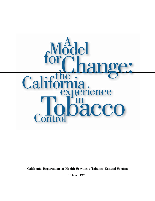

**California Department of Health Services / Tobacco Control Section** 

**October 1998**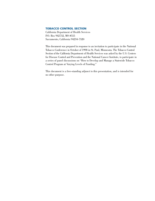#### **TOBACCO CONTROL SECTION**

California Department of Health Services P.O. Box 942732, MS #555 Sacramento, California 94234-7320

This document was prepared in response to an invitation to participate in the National Tobacco Conference in October of 1998 in St. Paul, Minnesota. The Tobacco Control Section of the California Department of Health Services was asked by the U.S. Centers for Disease Control and Prevention and the National Cancer Institute, to participate in a series of panel discussions on "How to Develop and Manage a Statewide Tobacco Control Program at Varying Levels of Funding."

This document is a free-standing adjunct to this presentation, and is intended for no other purpose.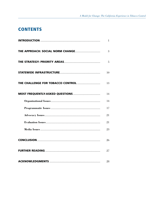## **CONTENTS**

| 1  |
|----|
| 3  |
| 5  |
| 10 |
| 13 |
| 14 |
| 14 |
| 17 |
| 21 |
| 21 |
| 23 |
| 26 |
| 27 |
| 28 |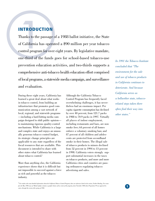**INTRODUCTION**<br>Thanks to the passage of a 1988<br>of California has operated a \$9<br>control program for over eight yea<br>one-third of the funds goes for Thanks to the passage of a 1988 ballot initiative, the State of California has operated a \$90 million per year tobacco control program for over eight years. By legislative mandate, one-third of the funds goes for school-based tobacco-use prevention education activities, and two-thirds supports a comprehensive anti-tobacco health education effort comprised of local programs, a statewide media campaign, and surveillance and evaluation.

> During these eight years, California has learned a great deal about what works in tobacco control, from building an infrastructure that promotes good communication among a vast network of local, regional, and statewide programs —including a hard-hitting media campaign designed to shift public opinion to maintaining rigorous quality-control mechanisms. While California is a large and complex state and enjoys an unusually generous tobacco control budget, its strategic change principles are applicable to any state regardless of the fiscal resources that are available. This document is intended to share with other states what California has learned about tobacco control.<sup>1</sup>

> More than anything else, the California experience shows that it is difficult but not impossible to succeed against a force as rich and powerful as the tobacco industry.

Although the California Tobacco Control Program has frequently faced overwhelming challenges, it has nevertheless had an enormous impact. Per capita cigarette consumption has declined by over 40 percent, from 121.7 packs in 1988 to 70.9 packs in 1997. Virtually all places of indoor employment, including restaurants and bars, are now smoke free; 64 percent of all homes enforce a voluntary smoking ban; and 87 percent of all children and adolescents are protected from secondhand smoke in their homes. The illegal sale of tobacco products to minors declined from 52 percent in 1994 to 13 percent in 1998. California voters strongly support substantial increases in the taxes on tobacco products, and more and more California cities and counties are passing ordinances regulating tobacco advertising and sales.

*In 1991 the Tobacco Institute concluded that "The environment for the sale and use of tobacco products in California continues to deteriorate. And because California serves as a bellwether state, tobaccorelated steps taken there often find their way into other states."* 



*<sup>1</sup> For readers who want detailed information about the California Tobacco Control Program, there are references listed in the section, Further Reading. For example, the May 1998 issue of* Media Update *contains a graphic history of key events of the program, from November 1988 when Proposition 99 was approved by voters, through the events of the spring of 1998.*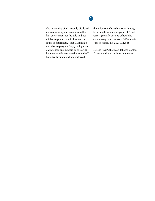## **2**

Most reassuring of all, recently disclosed tobacco industry documents state that the "environment for the sale and use of tobacco products in California continues to deteriorate," that California's anti-tobacco program "enjoys a high rate of awareness and appears to be having the intended effect on smoking attitudes," that advertisements which portrayed

the industry unfavorably were "among favorite ads for most respondents" and were "generally seen as believable, even among many smokers" (Minnesota case document no. 2023012755).

Here is what California's Tobacco Control Program did to earn those comments.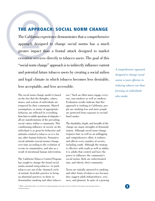**THE APPROACH: SOCIAL NORM CHANGE**<br>The California experience demonstrates that a comprehensive<br>approach designed to change social norms has a much<br>greater impact than a frontal attack designed to market<br>cessation services The California experience demonstrates that a comprehensive approach designed to change social norms has a much greater impact than a frontal attack designed to market cessation services directly to tobacco users. The goal of this "social norm change" approach is to indirectly influence current and potential future tobacco users by creating a social milieu and legal climate in which tobacco becomes less desirable, less acceptable, and less accessible.

> The social norm change model is based on the fact that the thoughts, values, mores, and actions of individuals are tempered by their community. Shared assumptions, or norms of appropriate behavior, are reflected in everything from laws to subtle questions of etiquette all are manifestations of the prevailing social values within a community. This conditioning influence of society on the individual is as great for behaviors and attitudes related to tobacco as it is for any other human behavior. Normative social attitudes (social norms) change over time according to the evolution of events in communities, and also as a result of intentional human intervention.

The California Tobacco Control Program has sought to change the broad social norms around using tobacco—to push tobacco use out of the charmed circle of normal, desirable practice to being an abnormal practice; in short, to denormalize smoking and other tobacco

use.2 Such an effort must engage everyone, non-smokers as well as smokers. Evaluation results indicate that this approach is working in California: people are smoking less and more people are protected from exposure to secondhand smoke.

The durability, depth, and breadth of the change are major strengths of denormalization. Although social norm change requires time as well as an unflagging and comprehensive effort, it endures and affects every member of society, including youth. Although the strategy is effective with youth as well as adults, it is adults that control and have the power to influence the community's social norms. Kids are indoctrinated into, and inherit, their community.

Teens are initially attracted to smoking and other forms of tobacco use because they suggest adult independence, sexiness, and glamour. In spite of a growing

*A comprehensive approach designed to change social norms is more effective in reducing tobacco use than focusing on individuals who smoke.* 

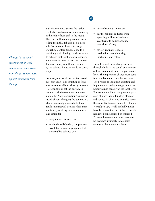*Change in the social environment of local communities must come from the grass-roots level up, not mandated from the top.* 

### anti-tobacco mood across the nation, youth still see too many adults smoking in their daily lives and in the media. There are still too many societal cues telling them that tobacco use is desirable. Social norms have not changed enough to contain tobacco use to a shrinking pool of aging, hardcore users. To achieve that level of social change, more must be done to stop the tremendous machinery of influence mounted by the tobacco industry to addict young people.

Because youth smoking has increased in recent years, it is tempting to focus tobacco control efforts primarily on youth. However, this is not the answer. In keeping with the social norm change model, the "next generation" cannot be saved without changing the generations who have already reached adulthood. Youth smoking will decline when more adults stop smoking, and when adults take action to:

- de-glamorize tobacco use;
- establish well-funded, comprehensive tobacco control programs that denormalize tobacco use;

## **4**

- pass tobacco tax increases;
- bar the tobacco industry from spending billions of dollars a year trying to addict anyone, regardless of age;
- strictly regulate tobacco production, manufacturing, marketing, and sales.

Durable social norm change occurs through shifts in the social environment of local communities, at the grass roots level. The impetus for change must come from the bottom up, not the top down. The process of initiating, adopting and implementing policy change in a community builds capacity at the local level. For example, without the previous passage of more than a hundred clean air ordinances in cities and counties across the state, California's Smokefree Indoor Workplace Law would probably never have been enacted, or if it had, it would not have been observed or enforced. Program interventions must therefore be designed primarily to facilitate change at the community level.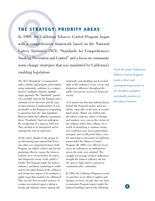## **THE STRATEGY: PRIORITY AREAS**

THE STRATEGY: PRIORITY AREAS<br>In 1989, the California Tobacco Control Program began<br>with a comprehensive framework based on the National<br>Cancer Institute's (NCI) "Standards for Comprehensive<br>Smoking Prevention and Control" Smoking Prevention and Control" and a focus on community norm change strategies that was mandated by California's In 1989, the California Tobacco Control Program began with a comprehensive framework based on the National enabling legislation.

The NCI "Standards" recommended policy, media, and program interventions using community coalitions in a comprehensive, multiple channel, multiple target approach. The "Standards" provided a scientific base for the Program and a rationale for its direction and the type of interventions it implemented. It was invaluable to the Program in responding to questions from the state legislature. However, before the California experiment, these "Standards" had not undergone the weathering of a rigorous field test. They needed to be interpreted and to undergo the trial of experience.

At the outset, thanks to the genius of an advertising man named Paul Keye, one other very important feature of the Program was added: a direct and uncompromising effort to expose the tobacco industry as a very powerful, deceptive, and dangerous enemy of the public's health. The Program made the tobacco industry's predatory marketing to youth and its deceitful denials of the addictive and destructive nature of its products a public issue that needed to be addressed. This was the first recorded instance of a major government agency taking a strong anti-industry stance against this

behemoth, and shedding much-needed light on the industry's overt, covert, and ubiquitous influence throughout the public and private sectors of American society.

As it turned out, this anti-industry thrust helped the Program's policy advocacy efforts, especially in the area of secondhand smoke. Blame was shifted onto the tobacco industry, where it belongs, and smokers were cast as the victims of the industry rather than villains. As a result of identifying a common enemy, new coalitions were born, partnerships emerged, and in little more than a year the anti-tobacco movement in California transcended the Tobacco Control Program. By 1993, over 120 new local clean air ordinances in communities across the state were adopted. The struggle for passage of these ordinances brought the tobacco industry out into the open to fight and be exposed in community after community.

In 1993, the California Program revised its priorities in an effort to tighten and sharpen its focus. In part, this was done to maximize Program impact under the reduced funding expected the following

*From the outset, California's Tobacco Control Program made a direct and uncompromising attack on the deceptive, predatory and deadly practices of the tobacco business.*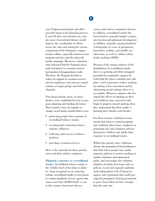### year. Program participants and allies provided input in the planning process. It was felt that concentration on a simple menu of prioritized themes would improve the coordination of efforts across the state and among the various components of the Program's comprehensive efforts, especially between local program activities and the statewide media campaign. Moreover, evaluation data indicated that the Program's heavy early investment in cessation services had produced disappointing results. Therefore, the Program decided to reduce its support of cessation services and de-emphasize such process considerations as target groups and delivery channels.

Four broad priority areas, or policy themes, were established for use in program planning and funding decisions. These priority areas act together to change social norms around tobacco use:

- protecting people from exposure to secondhand tobacco smoke;
- revealing and countering tobacco industry influence;
- reducing youth access to tobacco products;
- providing cessation services.

Here is the rationale for these priority areas and their relative emphases.

**Eliminate exposure to secondhand smoke.** Secondhand tobacco smoke is the Achilles heel of the tobacco industry. Long recognized as an annoying irritant, secondhand smoke is now known to contain hundreds of toxic agents that cause more than 50,000 deaths a year in this country from heart disease,

cancer, and various respiratory diseases. In addition, secondhand smoke has been found to seriously hamper respiratory function and pulmonary development in children, annually causing hundreds of thousands of cases of pneumonia, bronchitis, asthma, and middle ear infections, as well as sudden infant death syndrome (SIDS).

Because of the strong evidence of the harmfulness of secondhand smoke, there is a growing and often untapped potential for community support for restricting the places smoking may take place. Such restrictions reduce smoking by making it less convenient and by eliminating social settings where it is acceptable. Moreover, smokers who disregard the effects of smoking on their own health become concerned and begin to progress toward quitting when they understand that their smoke is harming their families and friends.

For these reasons, California recommends that tobacco control programs and coalitions place heavy emphasis on promoting laws and voluntary policies that protect children and adults from exposure to secondhand smoke.

Within this priority area, California stresses the promotion of local ordinances that limit where people may smoke, promotes policies to restrict smoking in outdoor stadiums and amusement parks, and encourages the voluntary adoption of smoke-free home and car policies. Local and regional coalitions work independent of the Program to oppose state legislation that would preempt the prerogative of local governments to pass clean indoor air laws stronger than the state law.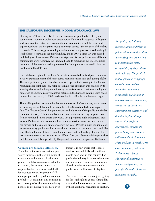#### **THE CALIFORNIA SMOKEFREE INDOOR WORKPLACE LAW**

Starting in 1990 with the City of Lodi, an accelerating proliferation of city and county clean indoor air ordinances swept across California in response to Program and local coalition activities. Community after community raised the issue and experienced what the Program's media campaign termed "the invasion of the tobacco people." These struggles were highly educational, the process proved healthy for local tobacco control and capacity building, and in 1994 a state law was passed prohibiting smoking in most California workplaces. At that point, when California communities were receptive, the Program began to emphasize the effective implementation of the new law and to promote other local policies that would close the loopholes in the state law.

One notable exception to California's 1994 Smokefree Indoor Workplace Law was a two-year postponement of the smokefree requirement for bars and gaming clubs. This was particularly objectionable because it permitted smoking in the bars of restaurant-bar combinations. After one single-year extension was enacted by the state legislature and subsequent efforts by the anti-tobacco constituency to fight off numerous attempts to pass yet another extension, the bars and gaming clubs exception expired on January 1, 1998, and smoking in California bars became illegal.

The challenge then became to implement the new smokefree bar law, and to avert a damaging reversal that could weaken the entire Smokefree Indoor Workplace Law. The Tobacco Control Program emphasized education of the public and the barrestaurant industry. Ads showed bartenders and waitresses asking for protection from secondhand smoke where they work. Local programs made educational visits to bars. Packets of information and local training sessions were provided to both bar owners and local code enforcers across the state. Despite a multi-million dollar tobacco-industry public relations campaign to provoke bar owners to resist and disobey the law, the anti-tobacco constituency succeeded in thwarting efforts in the legislature to revoke the law during its difficult first year. Recent opinion polls show that the law is widely supported by the general public and bar-goers in California.

#### **Counter pro-tobacco influences.** though it is fully aware that tobacco,

vasive influence in the communities of people each year in this country. For every state in the nation. As the sole profit, the industry has stooped to many promoter of tobacco sales and addiction unconscionable business practices disto tobacco, the tobacco industry is closed in industry documents made responsible for the disease and death public as a result of recent litigation. its products wreak. No products kill more people, and no products are more The tobacco industry is not just fighting profitable. To maximize and continue to for the legal right to go on selling addicreap these profits, the tobacco industry tive and lethal consumer products persists in promoting its products even without additional regulation or taxation.

The tobacco industry maintains a per- used as intended, kills half a million

*For profit, the industry invests billions of dollars in public relations and product advertising and promotions to maintain the social acceptability of its products and their use. For profit, it makes generous campaign contributions, lobbies lawmakers to prevent meaningful regulation of tobacco, sponsors community events and cultural and entertainment activities, and donates to philanthropic causes. For profit, it aggressively markets its products to youth, secures child-view-level placement of its products in retail stores close to schools, distributes Trojan horse tobacco educational materials to schools and parents, and pays for the main characters in movies to smoke.* 

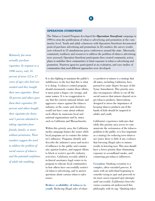*Relatively few teens actually purchase cigarettes. In response to a 1996 survey, only 16 percent of teens (12 to 17 years of age) who had ever smoked said they bought their own cigarettes. About 58 percent said others gave them their cigarettes; 20 percent said others bought their cigarettes for them; and 5 percent admitted to taking cigarettes from friends, family, or stores without permission. These numbers suggest the need to address the problem of social sources of tobacco and the potential usefulness of adult role modeling.* 

### **OPERATION STOREFRONT**

The Tobacco Control Program developed the *Operation Storefront* campaign in 1994 to stem the proliferation of tobacco advertising and promotion at the community level. Youth and adult volunteers with Operation Storefront documented point-of-purchase advertising and promotions in 52 counties; the survey results were released in 13 simultaneous press conferences around the state. Afterwards, community readiness and resources to address the problem of tobacco advertising were assessed. Operation Storefront participants then created community action plans to mobilize their communities to limit exposure to tobacco advertising and promotion. Nineteen agencies participated in an evaluation, and case studies of communities that used different approaches were developed.

It is also fighting to maintain the public's indifference to the fact that this is what it is doing. A tobacco control program should strenuously counter these efforts; it must point a finger, cite wrongs, and name names. It is no exaggeration to say that the current national debate and aggressive stance against the tobacco industry, in the courts and elsewhere, would not have come about without such efforts by numerous local and national organizations and by states such as California and Massachusetts.

Within this priority area, the California media campaign frames the issues while local programs act to counter the industry's influence. Programs identify and describe the industry's areas and tactics of influence to the public and community opinion leaders, and support efforts to block or restrict specific industry activities. California recently added a technical assistance legal center to its program to educate local communities in how others have successfully restricted tobacco advertising, and to answer questions about various tobacco sales issues.

**Reduce availability of tobacco to youth.** Reducing illegal sales of tobacco products to minors is a strategy that all states, including California, have pursued to some degree because of the Synar Amendment. This priority area also encompasses efforts to cut off the social sources that minors depend on to get tobacco products. Interventions designed to stress the importance of keeping tobacco products out of the hands of kids should be targeted to adults and youth.

California's experience indicates that while this priority area serves to communicate the seriousness of the tobacco problem to the public, it is less important as a strategy for reducing teen tobacco use (since there is little if any evidence that lowering illegal sales to minors results in lowering use). This area should have a lower priority than eliminating exposure to secondhand smoke, and countering pro-tobacco influences.

**Cessation**. Smoking cessation is a complex, often extended process. It starts with an individual beginning to consider trying to quit and proceeds to (in most cases) repeated quit attempts until successful. (California's first television cessation ad underscored this philosophy with its tag: "Quitting takes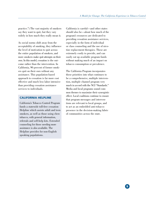**9** 

practice.") The vast majority of smokers say they want to quit, but they vary widely in how much they really mean it.

As social norms shift away from the acceptability of smoking, they influence the level of motivation to quit across the entire population of smokers, and more smokers make quit attempts on their own. In this model, cessation is the outcome rather than the intervention. In California, 90 percent of former smokers quit on their own without any assistance. This population-based approach to cessation is far more cost effective and much less labor intensive than providing cessation assistance services to individuals.

#### **CALIFORNIA HELPLINE**

California's Tobacco Control Program funds a statewide toll-free cessation Helpline which assists adult and teen smokers, as well as those using chew tobacco, with general information, referrals and self-help kits. Extended counseling for those needing more assistance is also available. The Helpline provides for non-English speaking populations.

California is careful—and other states should also be—about how much of the program's resources are dedicated to providing cessation assistance services, especially in the form of individual or class counseling and the use of nicotine replacement therapies. These are extremely costly to provide, and can easily eat up available program funds without making much of an impact on tobacco consumption or prevalence.

The California Program incorporates these priorities into what continues to be a comprehensive, multiple intervention, multiple channel program very much in accord with the NCI "Standards." Media and local programs sound common themes to maximize their synergistic effect. Local coalitions continue to ensure that program messages and interventions are relevant to local groups, and to act as an embedded anti-tobacco presence in the decision-making fabric of communities across the state.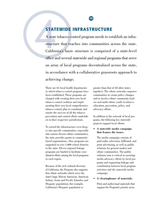## **STATEWIDE INFRASTRUCTURE**

**STATEWIDE INFRASTE**<br>A state tobacco control program<br>structure that reaches into con<br>California's basic structure is<br>office and several statewide and A state tobacco control program needs to establish an infrastructure that reaches into communities across the state. California's basic structure is comprised of a state-level office and several statewide and regional programs that serve an array of local programs decentralized across the state, in accordance with a collaborative grassroots approach to achieving change.

> There are 61 local health departments greater than that of 42 other states in which tobacco control programs have together). The ethnic networks empower been established. These programs are communities to create policy changes charged with creating their own local and to involve ethnic community leadtobacco control coalition and imple- ers and multi-ethnic youth in tobacco menting their own local comprehensive education, prevention, policy, and tobacco control plan to coordinate and advocacy efforts. ensure the success of all the tobacco prevention and control efforts undertak- In addition to the network of local proen in their respective jurisdictions. grams, the following key statewide

> To extend the infrastructure even deep-<br>
> er into specific communities, especially<br>
> into various diverse ethnic communities,<br> **that frames the issues.** the state provides grants to community- The media campaign consists of based organizations. Also, programs are paid radio, television, billboard, and supported in over 1,000 school districts print advertising, as well as public in the state. Eleven regional linkage relations for general market and programs are funded to facilitate coor- ethnic communities. The public dinated efforts among the local programs relations arm is critical in assisting in each region. media advocacy efforts by local pro-

> Because of the rich cultural diversity coordination between local program of California, the Program also supports activities and the statewide media four ethnic networks which serve the campaign. state's large African American, American • **A clearinghouse of materials.** Indian, Asian and Pacific Islander, and Hispanic populations (for example, Print and audiovisual materials that California's Hispanic population is support the Program's priority areas

projects support local efforts:

grams and supporting linkage and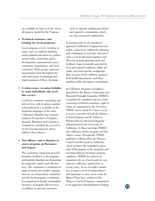are available on loan or at low cost to all projects funded by the Program.

• **Technical assistance and training for local programs.** 

Local programs receive training on topics such as coalition building, media relations and advocacy, spokesperson skills, leadership, policy development, transnational issues, community organization, and local evaluation. Work groups representing programs from throughout the state participate in planning and implementation of these trainings.

#### • **A tobacco-use cessation helpline to assist individuals who need this service.**

A toll-free cessation counseling and referral line, with its phone number well publicized, is available in the dominant languages of the state. California's Helpline has separate numbers for speakers of English, Spanish, Mandarin and Cantonese, Vietnamese, and Korean, as well as for the hearing impaired and to address chew tobacco.

#### **Surveillance and evaluation to assess program performance and impact.**

The evaluation component provides formative feedback to the program and furnishes data that can demonstrate the program's impact and effectiveness. The evaluation is comprised of large triennial and smaller ongoing surveys, an independent evaluation, and the local programs evaluations. It is important to identify intermediate measures of program effectiveness in addition to outcome measures

such as cigarette smoking prevalence and cigarette consumption, which are also measured continuously.

In keeping with its decentralized approach, California's Program does not utilize a state-level coalition for planning and coordination of activities. Instead, it relies on its locally-based partners and allies for program planning input and feedback. Input is formally provided by local and regional coalitions, ethnic networks, and issue-specific workgroups that cut across local coalitions, grantees, local health departments, and other members of the anti-tobacco constituency.

In California, Program oversight is provided by the Tobacco Education and Research Oversight Committee (TEROC), a legislatively mandated advisory body consisting of thirteen members, eight of whom are appointed by the Governor. TEROC meets about five times a year to review activities of both the Tobacco Control Program and the Tobacco-Related Disease Research Program administered by the University of California. At these meetings TEROC also addresses timely program and legislative issues. Periodically TEROC publishes a Master Plan for Tobacco Control and Research in California, which includes the committee's assessment of the progress of the programs and recommendations for future program emphasis. TEROC has played an important role as a focal point for constituency influence, particularly in recent years. As an oversight committee, it enjoys a level of independence and autonomy to carry out its work. Its Master Plans have reinforced the Tobacco Control Program's commitment to an aggressive denormalization strategy. **11**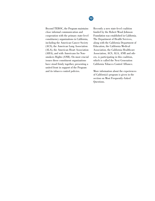## **12**

Beyond TEROC, the Program maintains close informal communication and cooperation with the primary state-level constituency organizations in California, including the American Cancer Society (ACS), the American Lung Association (ALA), the American Heart Association (AHA), and with Americans for Nonsmokers Rights (ANR). On most crucial issues these constituent organizations have stood firmly together, presenting a united front in support of the Program and its tobacco control policies.

Recently a new state-level coalition funded by the Robert Wood Johnson Foundation was established in California. The Department of Health Services, along with the California Department of Education, the California Medical Association, the California Healthcare Association, ACS, ALA, ANR and others, is participating in this coalition, which is called the Next Generation California Tobacco Control Alliance.

More information about the experiences of California's program is given in the section on Most Frequently-Asked Questions.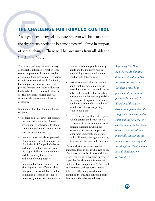THE CHALLENGE FOR TOBACCO CONTROL<br>An ongoing challenge of any state program will be to maintain<br>the tight focus needed to become a powerful force in support<br>of social change. There will be pressures from all sides to<br>break An ongoing challenge of any state program will be to maintain the tight focus needed to become a powerful force in support of social change. There will be pressures from all sides to break that focus.

> The tobacco industry has used its very considerable influence to weaken tobacco control programs, by promoting the diversion of their funding and restrictions of their focus or activities. In California, for example, the industry successfully pressed for state anti-tobacco education funds to be diverted into medical services. This diversion occurred and was subsequently reversed on at least two occasions.

Documents show that the industry also supports:

- Federal and state laws that preempt the regulatory authority of local government over tobacco (to block community action and accompanying shifts in social norms);
- laws that penalize kids for possession of tobacco products (to increase the "forbidden fruit" appeal of tobacco and to divert attention away from the responsibility of the merchants and the industry for the tobacco addiction of young people);
- programs that focus exclusively on kids, especially on efforts to eliminate youth access to tobacco and to criminalize possession of tobacco products by minors (to divert atten-

tion away from the problem among adults and the industry's role in maintaining a social environment conducive to tobacco use);

- narrowly-focused efforts to reduce adult smoking through a clinical cessation approach that would target only smokers (rather than targeting entire communities and emphasizing the dangers of exposure to secondhand smoke in an effort to achieve social norm changes regarding tobacco use); and
- preferential funding of school programs (which ignores the broader social environment, and also emphasizes a program channel in which the tobacco issue cannot compete with other more immediate problems, such as illiteracy, teenage pregnancy, drug and alcohol use, and violence).

These industry documents contain important lessons about what **not** to do. The industry spends billions of dollars every year trying to maintain or recover a positive "environment for the sale and use of tobacco products." The social environment, with its norms around tobacco, is the real ground of contention in the struggle between public health and the tobacco industry.

*A January 29, 1991 R. J. Reynolds planning document stated that "Our near-term strategies in California must be to provide evidence that the proposed budget shift [a diversion of the entire \$16 million planned for the Program's statewide media campaign in 1991-92] is a) consistent with the desires of voters, and b) will not materially undermine the state's overall smoking and health efforts..." (Minnesota lawsuit document no. 507755351).*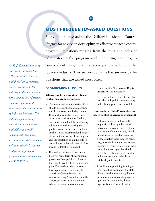## **MOST FREQUENTLY-ASKED QUESTIONS**

**MOST FREQUENTLY-A**<br>Many states have asked the C<br>Program for advice on developing<br>program—questions ranging 1<br>administering the program an Many states have asked the California Tobacco Control Program for advice on developing an effective tobacco control program—questions ranging from the nuts and bolts of administering the program and monitoring grantees, to issues about lobbying and advocacy and challenging the tobacco industry. This section contains the answers to the questions that are asked most often.

#### **ORGANIZATIONAL ISSUES**

#### **Where should a statewide tobacco control program be housed?**

- The state-level administrative office should be established as a separate unit in the state health department. It should have a strict singleness of purpose, with separate funding, and be dedicated solely to reducing tobacco use and protecting the public from exposure to secondhand smoke. This is recommended because of the political nature of the program and the existence of a multi-billion dollar industry that will use all of its means to defeat or weaken it.
- If possible, the state office should be given some form of institutional protection from political influence that might divert it from its program plan. Partnerships with the voluntary organizations, including the American Cancer Society, the American Lung Association, and the American Heart Association, and advocacy organizations such as

Americans for Nonsmokers Rights, are critical and necessary.

• An independent oversight body that provides both public accountability and political protection is useful.

#### **How would an "ideal" statewide tobacco control program be organized?**

- A decentralized structure, with emphasis on local public health activities is recommended. If there is a system of county or city health departments, or similar organizations, establish local tobacco control programs within them to act as lead agencies in their respective jurisdictions. Such lead agencies should foster the creation of local coalitions and coordinate with schools to establish youth coalitions.
- In addition to providing funding to local health departments, the state office should allocate a significant portion of its resources to projects operated by community-based organizations. This will further

*An R. J. Reynolds planning document concluded that "The California campaign, and those like it, represents a very real threat to the industry in the intermediateterm...Impact on self-esteem, social acceptance and smoking utility will ultimately influence business... The industry's public policy toward youth smoking and ability to broadly communicate that policy will ultimately determine our ability to effectively counter 'California-type' efforts" (Minnesota lawsuit document no. 507755351).*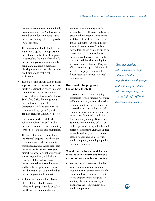ensure program reach into ethnically diverse communities. Such projects should be funded on a competitive basis, using a request for proposals (RFP) process.

- The state office should fund critical statewide projects that support and build the capacity of local programs. In particular, the state office should mount an ongoing statewide media campaign, maintain a materials clearinghouse, and provide continuous training and technical assistance.
- The state office should also consider supporting ethnic networks to coordinate and strengthen efforts in ethnic communities, as well as various special-task projects such as California's Smokefree Cities Project (through the California League of Cities), Operation Storefront, and Bar and Restaurant Employees Against Tobacco Hazards (BREATH) Project.
- Programs should be established in schools if school-site and teacher buy-in is ensured and accountability for the use of the funds is maintained.
- The state office should consider funding regional projects to facilitate the coordination of local efforts within established regions. Areas that share the same media market make good project regions. Regional projects cut across geographical, political, and governmental boundaries, much as the tobacco industry would operate, and help the program stay clear of jurisdictional disputes and other barriers to program implementation.
- At both the state and local levels, close relations should be established with groups outside of public health such as community-based

organizations, voluntary health organizations, youth groups, advocacy groups, ethnic organizations, representatives of local law enforcement, and local business groups and professional organizations. The best way to forge these relationships is to create local coalitions and special work groups that participate in the planning and decision-making for tobacco control activities. Program efforts are thus kept in full view of an informed population, which discourages surreptitious political interference.

### **How should the program's budget be allocated?**

• If possible, establish an ongoing, predictable level of funding. Assuming sufficient funding, a good allocation formula would provide 5 percent for state office administration and 10 percent for program evaluation. The remainder of the funds would be divided evenly among: 1) local lead agencies for community efforts within their jurisdiction; 2) school-based efforts; 3) competitive grants, including statewide, regional, and communitybased projects; and 4) a statewide media campaign, including a public relations component.

### **Would the California model work in states with a much smaller population or with much less funding?**

Yes, in a pared down form. Smaller states, or states with less money, should concentrate first on establishing a state level administrative office for the program that is adequate for leading, planning, evaluating, and monitoring the local program and media components.

*Close relationships with community groups, voluntary health organizations, youth groups and ethnic organizations will keep program efforts "in the light of day" and discourage interference.*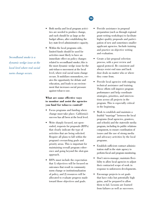*Secondhand smoke is a dynamic wedge issue at the local level where real social norm change occurs.* 

- Both media and local program activities are needed to produce change, and each should be as large as the budget allows, after establishing the key state-level administrative capacity.
- Within the local programs side, limited funds should be used for activities most likely to have an immediate effect on policy changes related to secondhand smoke; this is the most dynamic wedge issue for the anti-tobacco movement at the local level, where real social norm change occurs. It mobilizes nonsmokers, creates the opportunity for debate and education, and leads to an environment that increases social pressure against tobacco use.

### **What are some effective ways to monitor and assist the agencies you fund for tobacco control?**

- Focus programs and funding where change must take place. California's success has all been at the local level.
- Write sharply focused, not openended, requests for proposals (RFPs) that clearly indicate the type of activities that are being solicited. Require all plans to fall within the program's overarching goals and priority areas. This is important for maintaining overall program coherence and going beyond the shot-gun approach.
- RFPs must include the expectation that 1) objectives will be focused on outcomes that result in community norm change or institutionalization of policy, and 2) resources will be allocated to evaluate progress made toward those objectives and goals.

## • Provide assistance in proposal preparation (such as through regional grant writing workshops) to facilitate higher quality proposals and partici-

- pation of new and sometimes smaller applicant agencies. Include training and practice on objective writing and evaluation.
- Create a fair proposal selection process, with a peer review and appeal protocol. Be consistent and always resist end runs and back door deals no matter who or where they come from.
- Provide local agencies with ongoing technical assistance and training. These efforts will improve program performance and help coordinate strategies, priorities, and interventions across all projects in the program. This is especially critical in the beginning.
- Work to establish and maintain a fruitful "marriage" between the local programs (lead agencies, grantees, and schools) and the statewide media program, including its public relations component, to ensure coordination of issues and the use of strong media and advocacy activities by the local programs.
- Establish sufficient contract administration staff in the state agency to perform fiscal and program monitoring.
- Don't micro-manage; maintain flexibility to allow local agencies to adjust their contracted scope of work in response to unforeseen developments.
- Encourage projects to set goals that have risks but potentially high gains, and be prepared to allow them to fail. Lessons are learned from failures as well as successes.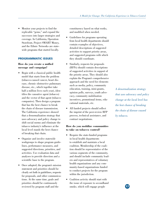• Monitor your projects to find the replicable "gems," and expand the successes into larger strategies and coverage. In California, Operation Storefront, Project SMART Money, and the Ethnic Networks are statewide programs that started locally.

#### **PROGRAMMATIC ISSUES**

#### **How do you create a unified message and campaign?**

- Begin with a classical public health model that starts from the problem (tobacco-caused cancer, heart disease, chronic obstructive pulmonary disease, etc., which together take half a million lives each year), identifies the causative agent (tobacco) and the vector of that agent (tobacco companies). Then design a program that has the best chance to break the chain of disease transmission. The California experience showed that a denormalization strategy that uses advocacy and policy change to shift social norms and eliminate the tobacco industry's influence at the local level stands the best chance of breaking that chain.
- Organize and involve statewide workgroups to shape program guidelines, performance measures, and suggested directions, priorities, and activities. Use evaluation data and analyses to provide direction and a scientific base to the program.
- Once adopted, the program's mission statement and priorities should be clearly set forth in guidelines, requests for proposals, and other communications. At the same time, goals and priorities should be continuously reviewed by program staff and the

constituency based on what works, and modified when needed.

- Guidelines for programs operating from local health departments should contain examples of objectives, detailed descriptions of suggested activities to support priority areas, and suggested programs with which they should coordinate.
- Similarly, requests for proposals (RFPs) should contain descriptions of suggested activities in support of the priority areas. They should also explain the Program's comprehensive approach and the need for elements such as media, policy, community education, training, mini-grants, opinion polls, surveys, youth advocacy, community mobilization incentives, promotional items, educational materials, etc.
- All funded projects should reflect the imprint of the peer-review RFP process, technical assistance, and contract negotiations.

#### **How do you mobilize communities to take on tobacco control?**

- Require the state-funded programs in local health departments to establish and maintain a local coalition. Membership of the coalition should be representative of the various segments of the community, and should include community leaders and representatives of voluntary health organizations and any community-based organizations funded to conduct projects for the program within the jurisdiction.
- Coalition activity should start with the issue of exposure to secondhand smoke, which will engage people

*A denormalization strategy that uses advocacy and policy change at the local level has the best chance of breaking the chain of disease caused by tobacco.*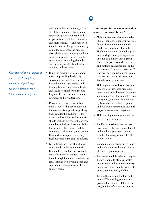els of the community. Policy change **among your constituents?**  efforts will provoke an organized response from the tobacco industry and their surrogates, and may even include boards of supervisors or city councils. In a sense, the process gives the entire community a tobacco immunization. There is no other substitute for educating the public and building local public health capacity and resilience.

- Build the capacity of local communities by providing leadership, spokesperson, and other training. Extend technical assistance and training beyond program contractors and coalition members to include leagues of cities, law enforcement agencies, and city attorneys.
- Provide aggressive, hard-hitting media "cover" that gives people in the community support for pushing back against the influence of the tobacco industry. The media campaign should include messages that expose the tobacco industry's responsibility for tobacco-related death and the continuing addiction of young people. It should also expose communitylevel activities of the tobacco industry.
- City officials are closest and most accountable to their communities. Informed city leaders are critical to create local policy change. Involve them through technical assistance to create smoke-free environments, and continue to communicate with and support them.

## **18**

# and arouse discourse among all lev- **How do you foster communication**

- Maintain frequent electronic, telephone, mail and, whenever possible, face-to-face communication with funded agencies and other allies. Healthy communication helps partners work peacefully alongside one another on a known core agenda. Thus, it helps prevent divisiveness and protects against tobacco industry efforts to "divide and conquer." The best advice? Check your ego at the door; try to not just hear, but *listen* to your constituents.
- Hold regular as well as ad hoc teleconferences with local programs, meet regularly with statewide project workgroups (e.g., the smokefree bars workgroup), send new information by broadcast faxes, hold regional and statewide conferences (such as project directors meetings), etc.
- Hold training meetings around the state on special topics.
- Publish a newsletter that reports program activities, accomplishments, and any hot topics (such as the results of a survey or recent poll) to constituents.
- Communicate program surveillance and evaluation results, and distribute any program reports.
- Provide an Administrative and Program Policy Manual to all local health departments and grantees so everyone is operating from the same set of assumptions and guidelines.
- Ensure that new contractors and new staff in ongoing projects are given a thorough orientation to the program, its infrastructure, and its

*Coalitions play an important role in developing local policies and providing valuable direction for a tobacco control program.*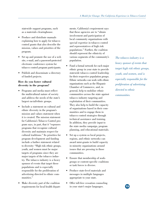statewide support programs, such as a materials clearinghouse.

- Produce and distribute manuals explaining how to apply for tobacco control grants that also describe the mission, values and priorities of the program.
- Set up and promote the use of a web site, e-mail, and a password-protected electronic conference system for tobacco control program participants.
- Publish and disseminate a directory of funded projects.

### **How do you foster cultural diversity in the program?**

- Programs and media must reflect the multicultural nature of society and address the needs of the state's largest racial/ethnic groups.
- Include a statement on cultural and ethnic diversity in the program's mission and values statement when it is created. The mission statement for California's Tobacco Control program says, in part, that it "espouses programs that recognize cultural diversity and maintain respect for cultural traditions." Its priorities for program development and funding include a further statement related to diversity: "High risk ethnic groups, youth, and women must be major targets of programs since they are major targets of the tobacco industry. The tobacco industry is a heavy sponsor of events that target these populations and is especially responsible for the proliferation of advertising directed to ethnic communities."
- Make diversity part of the coalition requirements for local health depart-

ments. California's requirement says that these agencies are to "obtain involvement and participation of local community organizations with special expertise in tobacco control and representatives of high risk populations." Further, the coalition should represent the ethnicity of various segments of the community's population.

- Fund a formal network for each major ethnic group in your state to provide statewide tobacco control leadership for their respective population groups. Ethnic networks can work with ethnic organizations such as the Hispanic Chamber of Commerce, and, in general, help to mobilize ethnic communities across the state against tobacco industry targeting and exploitation of their communities. They also help to build the capacity of organizations based in their communities and to engage them in tobacco control strategies through technical assistance and training. In addition, they provide input to the state media campaign, program planning, and educational materials.
- Set up a system so local projects, regions, and ethnic networks can award mini-grants to build capacity in minority organizations around issues that are pressing in those communities.
- Ensure that membership of workgroups or content-specific coalitions or task forces is diverse.
- Produce state-level materials and messages in multiple languages appropriate to your state.
- Offer toll-free cessation counseling in your state's major languages.

*The tobacco industry is a heavy sponsor of events that target high risk ethnic groups, youth, and women, and is especially responsible for the proliferation of advertising directed to ethnic communities.*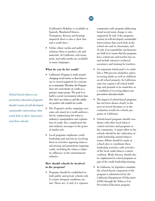**20** 

(California's Helpline is available in Spanish, Mandarin/Chinese, Vietnamese, Korean and hearingimpaired; there is also a chew line and a youth line.)

• Utilize ethnic media and public relations firms to produce ads and materials. In California, television, print, and radio media are available in many languages.

#### **What do you do for youth?**

- California's Program is built around changing social norms so that tobacco use is viewed negatively by everyone in a community. Therefore, the Program does not concentrate on youth as a primary target group. The goal is to build a social environment where families don't use tobacco, and the adults are positive role models for youth.
- The Program's media campaign uses some ads aimed at a youth audience, but by emphasizing the tobacco industry's manipulation and exploitation of youth, they complement the anti-industry messages in the general market ads.
- Local programs emphasize youth leadership and activism by involving them in activities opposing tobacco advertising and promotions targeting youth, including the tobacco industry influence in the entertainment industry.

#### **How should schools be involved in the program?**

• Programs should be established in both public and private schools only if certain stringent conditions are met. These are: 1) only if a vigorous

community-wide program addressing broad social norm change is also supported; 2) only if the programs consist of well-developed, sustainable interventions that reach kids at the school site and in classrooms; and 3) only if accountability mechanisms are built in to ensure that the programs have school-site and teacher buy-in, and include intensive technical assistance and training for teachers.

- ings and grounds to be smokefree as An important initial goal is to establish a 100 percent smokefree policy (covering adults as well as children) on all school property. In California, state law requires all school builda condition of receiving tobacco use prevention education funds.
- The impact of school-based programs has not been shown clearly in the peer-reviewed literature or in the evaluation results for schools programs in California.
- School-based programs should coordinate with other local tobacco control activities and programs in the community. A major effort in the schools should be the cultivation of youth leadership around tobacco issues. Efforts should be made at school-sites to coordinate these leadership activities with activities of the local youth tobacco control coalition. Media literacy should also be emphasized in school programs as part of the youth leadership training.
- In California, by legislative mandate, the school-based component of the program is administered by the California Department of Education (CDE) through the Tobacco Use Prevention Education program

*School-based tobacco use prevention education programs should consist of well-developed, sustainable interventions that reach kids in their classrooms and their schools.*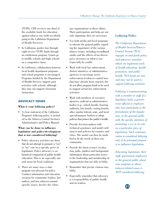(TUPE). CDE receives one-third of the available funds for education against tobacco use (with two-thirds going to the California Department of Health Services).

- In California, grades four through eight receive TUPE funds through an entitlement program. Grants go to middle schools and high schools on a competitive basis.
- In California, collaboration between local health department programs and school programs is encouraged. Programs funded by the Department of Health Services support joint activities with schools, although they may not support classroom instruction.

### **ADVOCACY ISSUES**

#### **What is your lobbying policy?**

• A clear statement of the California Program's lobbying policy is included in the Tobacco Control Section's Administrative and Policy Manual.

#### **What can be done to influence legislation and policy-development that is not considered lobbying?**

- Policy advocacy activities are those that do not attempt to promote a "yes" or "no" vote on a specific piece of legislation. Policy advocacy is an historical component of public health education. This is an especially natural arena for local coalitions.
- There are many ways a state program can advocate for policy. Conduct information and education sessions for community leaders, lawmakers, and law enforcers around specific issues. Involve the volun-

tary organizations in these efforts. Their participation and help are not only important, they are necessary.

- Use both media and local programs to educate the general public regarding the importance of the various tobacco issues, including secondhand smoke and the effects of tax-driven price increases on tobacco use (especially by youth).
- Work with local law enforcement, district attorneys, or administrative agencies to encourage active enforcement of tobacco control laws that have already been enacted, but do not allow program funds to be used to support actual law enforcement activities.
- Work with members of executive agencies, judicial or administrative bodies (e.g., school boards, housing authority, fair boards, zoning boards, other similar federal, state, and local special-purpose bodies) to adopt policies that protect the public's health.
- Provide decision-makers with technical assistance and model ordinances and policies for counties and cities. The model can then be modified to fit the needs of their own community.
- Provide the latest science (evaluation, polls, studies) and background information about particular issues to the leadership and membership of organizations that are able to lobby.
- Remember that private citizens may lobby.
- Especially remember that advocacy is a responsibility of public health and its leaders.

### **Lobbying Policy**

*The California Department of Health Services/Tobacco Control Section (TCS) engages in and funds policy and advocacy activities which are legitimate tools of health education, health promotion, and public health. TCS funds are not, and may not be used to support lobbying activities.* 

*Lobbying is communicating with a member or staff of a legislative body, a government official or employee who may participate in the formulation of the legislation, or the general public with the specific intention of promoting a yes or no vote on a particular piece of legislation. Such communication is considered lobbying only if its principal purpose is to influence legislation.* 

*Educating legislators, their staff, government employees, or the general public about your program or about tobacco-related issues is NOT considered lobbying.*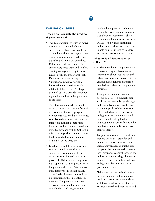## **22**

#### **EVALUATION ISSUES**

#### **How do you evaluate the progress of your program?**

- Two basic program evaluation activities are recommended. One is surveillance, which involves the use of population-based surveys to track changes in tobacco use and related attitudes and behaviors over time. California conducts a large tobacco survey every three years and smaller, ongoing surveys annually in conjunction with the Behavioral Risk Factor Surveillance Survey. Surveillance provides valuable information on statewide trends related to tobacco use. The large triennial surveys provide trends for regional and ethnic subpopulations of the state.
- The other recommended evaluation activity consists of outcome-focused assessments of various program components (i.e., media, community, schools) to determine their relative impact on individuals (attitudes, behavior) and on the social environment (policy changes). In California, this is accomplished through a contract to conduct an independent evaluation of the program.
- In addition, each funded local intervention should be required to conduct an evaluation of its own activities as an integral part of the project. In California, every grantee must spend at least 10 percent of its budget on evaluation. This requirement improves the design quality of the funded interventions and, as a consequence, their potential effectiveness. The program publishes a directory of evaluators who can consult with local programs and

conduct local program evaluations. To facilitate local program evaluations, a database of instruments, objectives and evaluation results is made available to program participants, and an annual showcase conference is held to allow programs to share evaluation results with each other.

#### **What kinds of data need to be collected?**

- At the inception of the program, and then on an ongoing basis, collect information about tobacco use and related attitudes and behavior in the general public (and/or of specific populations) related to the program priorities.
- Examples of outcome data that should be collected annually are: smoking prevalence by gender, age and ethnicity; and per capita consumption (packs of cigarettes sold); self-reported consumption (average daily); exposure to environmental tobacco smoke; illegal sales of tobacco; and surveys with particular populations on specific aspects of tobacco control.
- For process measures, types of data that are useful are: attitudes and behaviors assessed through either regular surveillance or public opinion polls; the number and content of local ordinances against tobacco use and tobacco advertising; changes in tobacco industry spending and marketing activities; and records of program activities.
- Make sure that the definitions (e.g., current smokers) and terminology used in state surveys are consistent with those used by the Centers for Disease Control and Prevention and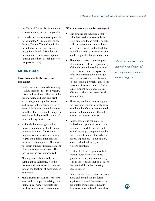the National Cancer Institute; otherwise results may not be comparable.

Use existing data whenever possible (for example, NHIS Monitoring the Future; Federal Trade Commission for industry advertising expenditures; State Board of Equalization for state and federal consumption figures; and other state tobacco control program data).

#### **MEDIA ISSUES**

#### **How does media fit into your program?**

- California's statewide media campaign is a key component of the program. It is a multi-million dollar paid television, radio, billboard and print advertising campaign that frames and supports the program's priority areas. It is focused on environmental rather than individual change, in keeping with the overall strategy of denormalizing tobacco use.
- Although the campaign is a key piece, media alone will not change norms or behavior. Alternatively, a program without media has no way to grab the public's attention and influence public opinion. Media is a necessary but not sufficient element of a comprehensive program. This fact cannot be over-emphasized.
- Media gives visibility to the larger campaign; in California, it is the primary way that tobacco issues are kept at the forefront of most people's awareness.
- Media frames the issues for the program and starts people talking about them. In this way, it supports the local tobacco control interventions.

#### **What are effective media strategies?**

- One strategy the California campaign has used consistently is to focus on secondhand smoke, which pulls in smokers and nonsmokers alike. Once people understand that secondhand smoke harms everyone, apathy begins to change into action.
- The other strategy is to raise people's awareness of the responsibility of the tobacco industry for tobaccorelated disease, and to expose the industry's manipulative tactics (as with the "Invasion of the Tobacco People" radio ad, which exposed the presence of tobacco industry "hired guns" brought in to oppose local efforts to address the secondhand smoke issue).
- These key media strategies support the Program's primary priority areas: to reduce the effects of secondhand smoke, and to counteract the influence of the tobacco industry.
- California's media campaign is professionally produced so that the program's powerful concepts and critical messages compete favorably with the multitude of other ads people are exposed to. A poor quality, amateurish ad will not grab the viewer's attention.
- Health-effects messages have little impact. People know the consequences of using tobacco, and they tend to tune out ads that do no more than remind them that smoking causes cancer.
- New ads must be in constant development, and should use the latest legitimate facts and figures-for example, quotes from tobacco industry documents or new scientific revelations.

*Media is a necessary but not sufficient element of a comprehensive tobacco control program.* 

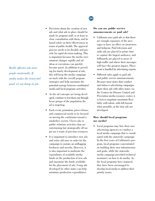*Really effective ads move people emotionally. If media makes the viewer feel good, it's not doing its job.* 

- Decisions about the creation of new ads and what ads to place should be made by program staff, or at least in close consultation with them, and be based solely on their effectiveness in terms of public health. The approval process needs to be flexible and provide for rapid decision-making. This
	- is important because the media environment changes rapidly and ad ideas or executions can quickly become passé. In addition to providing for timely development of ads, this will keep the media campaign on track with the overall program strategies and help maximize the potential synergy between coordinated media and local programs activities.
- As the ad concepts are being developed, continue to test them out through focus groups of the population the ad is targeting.
- Each event, promotion, press release, and commercial needs to be focused on moving the continuum toward a smokefree society. Clever ads or public relations activities that are entertaining but strategically off target are a waste of precious resources.
- It is important to introduce new ads and retire old ones in order for the campaign to sustain an unflagging freshness and novelty. However, it is also important to moderate the expenditure of available media funds on the production of new ads and maximize the funds available for the placement of ads. Using ads developed by other states can help minimize production expenditures.

## **24**

#### **Do you use public service announcements or paid ads?**

- California uses paid ads so that there are enough exposures of the messages to have an effect on awareness and behavior. Paid television and radio ads are placed in prime time to capture the largest audience, and billboards are placed in areas of high traffic and where their messages will have the greatest impact. Placement is handled by advertising experts.
- Different rules apply to paid ads and public service announcements. Because most states that conduct anti-tobacco advertising campaigns share their ads with other states via the Centers for Disease Control and Prevention media resource center, it is best to negotiate maximum flexibility with talent, with full buyout when possible, at the time ads are developed.

#### **How should local programs use media?**

Local programs may hire their own advertising agencies to conduct a local media campaign that is coordinated with the statewide campaign. In the first years of California's program, local programs concentrated on building their own infrastructure and goals, while the statewide media campaign provided technical assistance on how to do media. As the local programs have matured, they have been encouraged to develop local media to address their priority issues.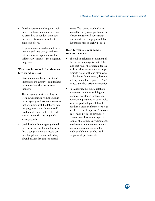- Local programs are also given technical assistance and materials such as press kits to conduct their own media events synchronized with statewide efforts.
- Regions are organized around media markets and may design and carry out media campaigns to meet the collaborative needs of their regional programs.

#### **What should we look for when we hire an ad agency?**

- First, there must be no conflict of interest for the agency—it must have no connection with the tobacco industry.
- The ad agency must be willing to work in partnership with the public health agency and to create messages that are in line with the tobacco control program's goals. Program staff need to make sure that creative ideas stay on target with the program's strategic goals.
- Qualifications for the agency should be a history of social marketing, a size that is comparable to the media contract budget, and an understanding of (and passion for) tobacco control

issues. The agency should also be aware that the general public and the tobacco industry will have strong responses to the campaign, and that the process may be highly political.

#### **How do you use your public relations agency?**

- The public relations component of the media campaign is part of the glue that holds the Program together. It provides materials that help all projects speak with one clear voice. It also helps frame issues, develops talking points for response to "hot" issues, and does crisis intervention.
- In California, the public relations component conducts training and technical assistance for local and community programs on such topics as message development, how to conduct a press conference or act as an effective spokesperson. The contractor also produces newsletters, creates press kits around specific events, photographically documents local events, and operates an antitobacco education van which is made available for use by local programs at public events.

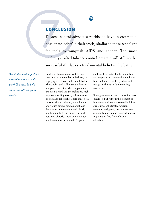## **CONCLUSION**

**CONCLUSION**<br>Tobacco control advocates wo<br>passionate belief in their work<br>for tools to vanquish AIDS<br>perfectly-crafted tobacco control Tobacco control advocates worldwide have in common a passionate belief in their work, similar to those who fight for tools to vanquish AIDS and cancer. The most perfectly-crafted tobacco control program will still not be successful if it lacks a fundamental belief in the battle.

*What's the most important piece of advice we could give? You must be bold and work with unafraid passion!* 

California has characterized its decision to take on the tobacco industry as engaging in a David and Goliath battle, where spirit and will make up for size and power. A battle where opponents are mismatched and the stakes are high requires a willingness by advocates to be bold and take risks. There must be a sense of shared mission, commitment and values among program staff, and these must be communicated clearly and frequently to the entire statewide network. Victories must be celebrated, and losses must be shared. Program

staff must be dedicated to supporting and empowering community mobilization, and also have the good sense to not get in the way of the resulting movement.

State government is not known for these qualities. But without the element of human commitment, a statewide infrastructure, sophisticated program elements and glossy media messages are empty, and cannot succeed in creating a nation free from tobacco addiction.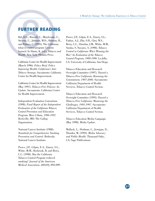**27** 

## **FURTHER READING**

FURTHER READIN<br>Bal, D.G., Russell, C., Motylewski,<br>Stevens, C., Johnson, M.D., Shimiz<br>and Palmer, C. (1995). The Califor<br>tobacco control program: Lessons<br>learned. In Slama, K. (ed.), *Tobacco*<br>*Health*. New York: Plenum Pr learned. In Slama, K. (ed.), *Tobacco and Health.* New York: Plenum Press. Bal, D.G., Russell, C., Motylewski, C., Stevens, C., Johnson, M.D., Shimizu, R., and Palmer, C. (1995). The California

> California Center for Health Improvement (March 1996). *Policy Brief. Policy Improving Health: California's Anti-Tobacco Strategy.* Sacramento: California Center for Health Improvement.

> California Center for Health Improvement (May 1997). *Tobacco-Free Policies: An Update.* Sacramento: California Center for Health Improvement.

Independent Evaluation Consortium (1998). *Final Report of the Independent Evaluation of the California Tobacco Control Prevention and Education Program: Wave I Data, 1996-1997.*  Rockville, MD: The Gallup Organization.

National Cancer Institute (1988). *Standards for Comprehensive Smoking Prevention and Control.* Bethesda: National Cancer Institute.

Pierce, J.P., Gilpin, E.A., Emery, S.L., White, M.M., Rosbrook, B, and Berry, C.C. (1998). Has the California Tobacco Control Program reduced smoking? *Journal of the American Medical Association*, *280*(10), 893-899. Pierce, J.P., Gilpin, E.A., Emery, S.L., Farkas, A.J., Zhu, S.H., Choi, W.S., Berry, C.C., Distefan, J.M., White, M.M., Soroka, S, Navarro, A. (1998). *Tobacco Control in California: Who's Winning the War? An Evaluation of the Tobacco Control Program, 1989-1996.* La Jolla, CA: University of California, San Diego.

Tobacco Education and Research Oversight Committee (1997). *Toward a Tobacco-Free California: Renewing the Commitment, 1997-2000.* Sacramento: California Department of Health Services, Tobacco Control Section.

Tobacco Education and Research Oversight Committee (1995). *Toward a Tobacco-Free California: Mastering the Challenges, 1995-1997.* Sacramento: California Department of Health Services, Tobacco Control Section.

Tobacco Education Media Campaign (May 1998). *Media Update.* 

Wallack, L., Dorfman, L., Jernigan, D., Themba, M. (1993). *Media Advocacy and Public Health.* Thousand Oaks, CA: Sage Publications.